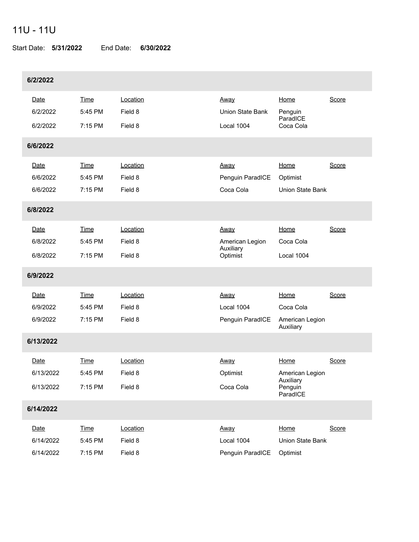## 11U - 11U

Start Date: **5/31/2022** End Date: **6/30/2022**

| 6/2/2022  |           |             |          |                         |                                  |       |  |  |  |
|-----------|-----------|-------------|----------|-------------------------|----------------------------------|-------|--|--|--|
|           | Date      | Time        | Location | <u>Away</u>             | Home                             | Score |  |  |  |
|           | 6/2/2022  | 5:45 PM     | Field 8  | <b>Union State Bank</b> | Penguin<br>ParadICE              |       |  |  |  |
|           | 6/2/2022  | 7:15 PM     | Field 8  | Local 1004              | Coca Cola                        |       |  |  |  |
|           | 6/6/2022  |             |          |                         |                                  |       |  |  |  |
|           | Date      | <b>Time</b> | Location | <u>Away</u>             | Home                             | Score |  |  |  |
|           | 6/6/2022  | 5:45 PM     | Field 8  | Penguin ParadICE        | Optimist                         |       |  |  |  |
|           | 6/6/2022  | 7:15 PM     | Field 8  | Coca Cola               | Union State Bank                 |       |  |  |  |
|           | 6/8/2022  |             |          |                         |                                  |       |  |  |  |
|           | Date      | Time        | Location | <u>Away</u>             | Home                             | Score |  |  |  |
|           | 6/8/2022  | 5:45 PM     | Field 8  | American Legion         | Coca Cola                        |       |  |  |  |
|           | 6/8/2022  | 7:15 PM     | Field 8  | Auxiliary<br>Optimist   | Local 1004                       |       |  |  |  |
|           | 6/9/2022  |             |          |                         |                                  |       |  |  |  |
|           | Date      | Time        | Location | Away                    | Home                             | Score |  |  |  |
|           | 6/9/2022  | 5:45 PM     | Field 8  | Local 1004              | Coca Cola                        |       |  |  |  |
|           | 6/9/2022  | 7:15 PM     | Field 8  | Penguin ParadICE        | American Legion<br>Auxiliary     |       |  |  |  |
|           | 6/13/2022 |             |          |                         |                                  |       |  |  |  |
|           | Date      | Time        | Location | <u>Away</u>             | Home                             | Score |  |  |  |
|           | 6/13/2022 | 5:45 PM     | Field 8  | Optimist                | American Legion                  |       |  |  |  |
|           | 6/13/2022 | 7:15 PM     | Field 8  | Coca Cola               | Auxiliary<br>Penguin<br>ParadICE |       |  |  |  |
| 6/14/2022 |           |             |          |                         |                                  |       |  |  |  |
|           | Date      | <b>Time</b> | Location | Away                    | Home                             | Score |  |  |  |
|           | 6/14/2022 | 5:45 PM     | Field 8  | Local 1004              | Union State Bank                 |       |  |  |  |
|           | 6/14/2022 | 7:15 PM     | Field 8  | Penguin ParadICE        | Optimist                         |       |  |  |  |